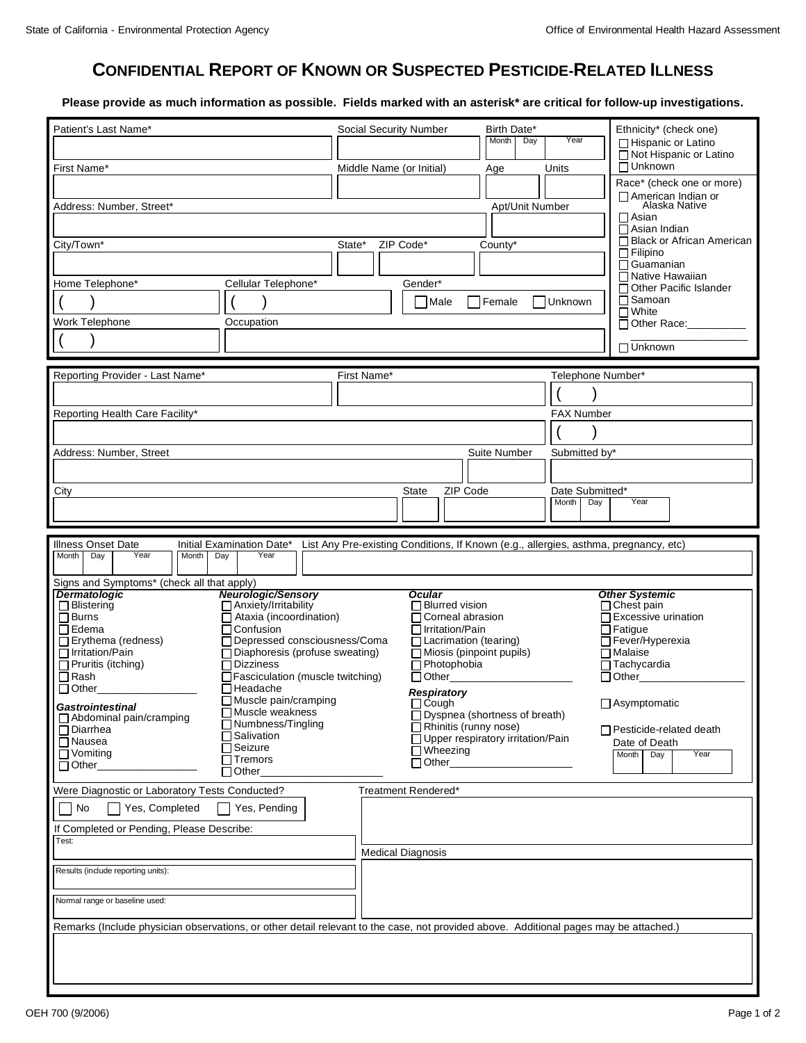## **CONFIDENTIAL REPORT OF KNOWN OR SUSPECTED PESTICIDE-RELATED ILLNESS**

**Please provide as much information as possible. Fields marked with an asterisk\* are critical for follow-up investigations.**

| Patient's Last Name*                                                                                                                  | Birth Date*<br><b>Social Security Number</b><br>Year<br>Month<br>Day                 | Ethnicity* (check one)<br>□ Hispanic or Latino     |  |
|---------------------------------------------------------------------------------------------------------------------------------------|--------------------------------------------------------------------------------------|----------------------------------------------------|--|
|                                                                                                                                       |                                                                                      | □ Not Hispanic or Latino                           |  |
| First Name*                                                                                                                           | Units<br>Middle Name (or Initial)<br>Age                                             | $\Box$ Unknown<br>Race* (check one or more)        |  |
| Address: Number, Street*                                                                                                              | Apt/Unit Number                                                                      | □ American Indian or<br>Alaska Native              |  |
|                                                                                                                                       |                                                                                      | ∏ Asian                                            |  |
| City/Town*                                                                                                                            | State*<br>ZIP Code*<br>County*                                                       | $\Box$ Asian Indian<br>□ Black or African American |  |
|                                                                                                                                       |                                                                                      | $\Box$ Filipino<br>$\Box$ Guamanian                |  |
| Home Telephone*<br>Cellular Telephone*                                                                                                | Gender*                                                                              | □ Native Hawaiian<br>□ Other Pacific Islander      |  |
|                                                                                                                                       | Male<br>Female<br>Unknown                                                            | □ Samoan<br>$\Box$ White                           |  |
| Work Telephone<br>Occupation                                                                                                          |                                                                                      | □ Other Race:                                      |  |
|                                                                                                                                       |                                                                                      | □ Unknown                                          |  |
|                                                                                                                                       |                                                                                      |                                                    |  |
| Reporting Provider - Last Name*                                                                                                       | First Name*<br>Telephone Number*                                                     |                                                    |  |
| Reporting Health Care Facility*                                                                                                       | <b>FAX Number</b>                                                                    |                                                    |  |
|                                                                                                                                       |                                                                                      |                                                    |  |
| Address: Number, Street                                                                                                               | Suite Number<br>Submitted by*                                                        |                                                    |  |
|                                                                                                                                       |                                                                                      |                                                    |  |
| City                                                                                                                                  | ZIP Code<br>Date Submitted*<br>State                                                 |                                                    |  |
|                                                                                                                                       | <b>Month</b><br>Day                                                                  | Year                                               |  |
|                                                                                                                                       |                                                                                      |                                                    |  |
| Illness Onset Date<br>Initial Examination Date*<br>Year<br>Month<br>Day<br>Year<br>Month<br>Day                                       | List Any Pre-existing Conditions, If Known (e.g., allergies, asthma, pregnancy, etc) |                                                    |  |
|                                                                                                                                       |                                                                                      |                                                    |  |
| Signs and Symptoms* (check all that apply)<br>Neurologic/Sensory<br><b>Dermatologic</b>                                               | <b>Ocular</b>                                                                        | <b>Other Systemic</b>                              |  |
| □ Blistering<br>$\Box$ Anxiety/Irritability<br>$\Box$ Burns<br>$\Box$ Ataxia (incoordination)                                         | □ Blurred vision<br>□ Corneal abrasion                                               | $\Box$ Chest pain<br>$\Box$ Excessive urination    |  |
| $\Box$ Edema<br>□Confusion<br>$\Box$ Erythema (redness)<br>□ Depressed consciousness/Coma                                             | □ Irritation/Pain<br>□ Lacrimation (tearing)                                         | $\Box$ Fatigue<br>□ Fever/Hyperexia                |  |
| □ Irritation/Pain<br>$\Box$ Diaphoresis (profuse sweating)<br>Pruritis (itching)<br>$\Box$ Dizziness                                  | $\Box$ Miosis (pinpoint pupils)                                                      | $\Box$ Malaise<br>$\Box$ Tachycardia               |  |
| $\Box$ Rash<br>□ Fasciculation (muscle twitching)                                                                                     | Photophobia<br>$\Box$ Other_                                                         | $\Box$ Other                                       |  |
| $\Box$ Other<br>∏Headache<br>$\Box$ Muscle pain/cramping                                                                              | <b>Respiratory</b><br>$\Box$ Cough                                                   | $\Box$ Asymptomatic                                |  |
| Gastrointestinal<br>$\overline{\Box}$ Muscle weakness<br>□ Abdominal pain/cramping<br>□ Numbness/Tingling                             | □ Dyspnea (shortness of breath)                                                      |                                                    |  |
| $\Box$ Diarrhea<br>□Salivation<br>□ Nausea                                                                                            | $\Box$ Rhinitis (runny nose)<br>□ Upper respiratory irritation/Pain                  | $\Box$ Pesticide-related death<br>Date of Death    |  |
| $\Box$ Seizure<br>□ Vomiting<br>$\Box$ Tremors<br>$\Box$ Other                                                                        | $\Box$ Wheezing<br>$\Box$ Other_                                                     | Year<br>Month<br>Day                               |  |
| $\Box$ Other                                                                                                                          |                                                                                      |                                                    |  |
| Were Diagnostic or Laboratory Tests Conducted?<br>Yes, Completed<br>No                                                                | Treatment Rendered*                                                                  |                                                    |  |
| Yes, Pending                                                                                                                          |                                                                                      |                                                    |  |
| If Completed or Pending, Please Describe:<br>Test:                                                                                    |                                                                                      |                                                    |  |
|                                                                                                                                       | <b>Medical Diagnosis</b>                                                             |                                                    |  |
| Results (include reporting units):                                                                                                    |                                                                                      |                                                    |  |
| Normal range or baseline used:                                                                                                        |                                                                                      |                                                    |  |
| Remarks (Include physician observations, or other detail relevant to the case, not provided above. Additional pages may be attached.) |                                                                                      |                                                    |  |
|                                                                                                                                       |                                                                                      |                                                    |  |
|                                                                                                                                       |                                                                                      |                                                    |  |
|                                                                                                                                       |                                                                                      |                                                    |  |